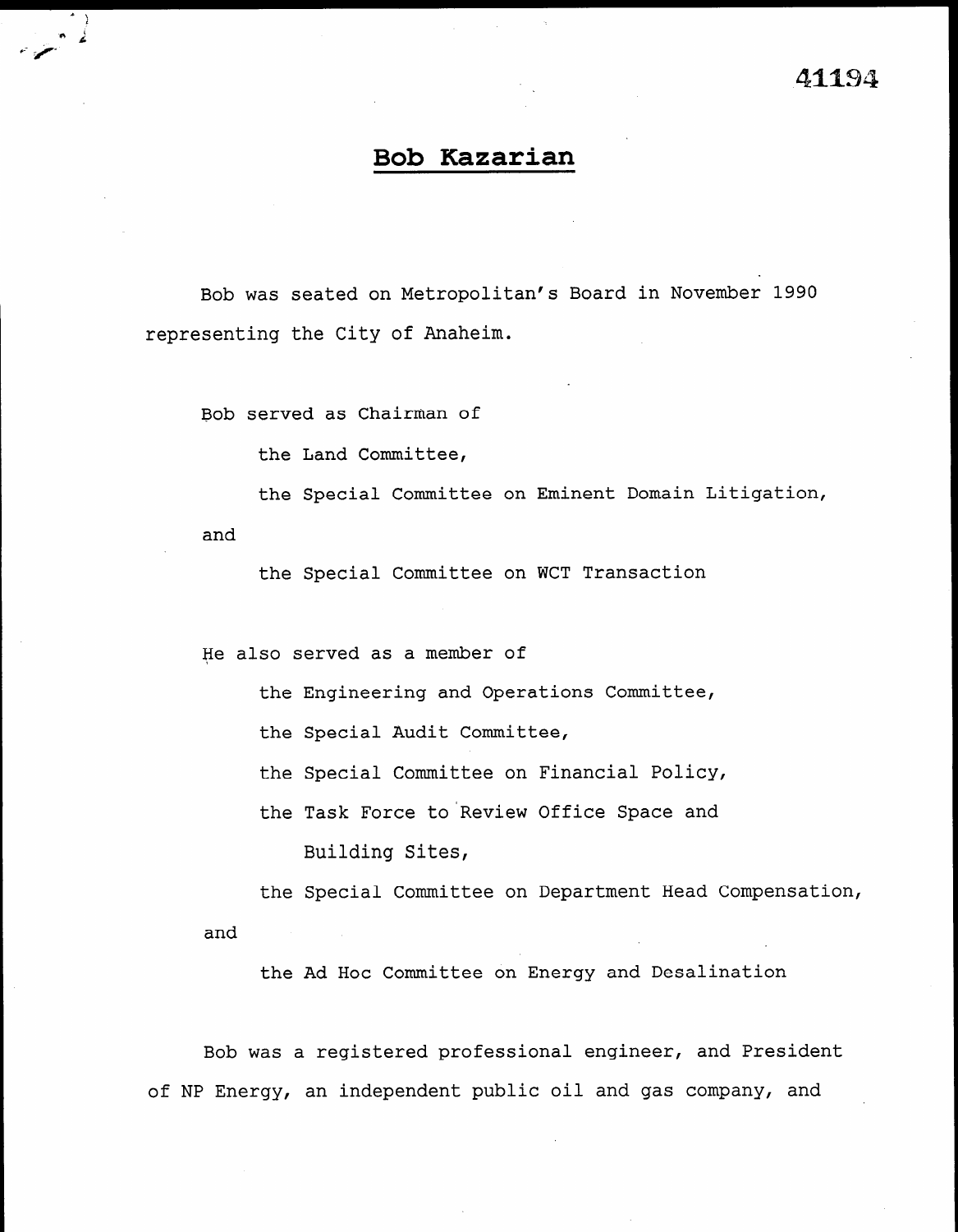## Bob Kazarian

Bob was seated on Metropolitan's Board in November 1990 representing the City of Anaheim.

Bob served as Chairman of

the Land Committee,

the Special Committee on Eminent Domain Litigation,

and

 $\overline{\ }$  $-$  2

 $\cdot$   $\cdot$ 

the Special Committee on WCT Transaction

He also served as a member of

the Engineering and Operations Committee,

the Special Audit Committee,

the Special Committee on Financial Policy,

the Task Force to Review Office Space and Building Sites,

the Special Committee on Department Head Compensation, and

the Ad Hoc Committee on Energy and Desalination

Bob was a registered professional engineer, and President of NP Energy, an independent public oil and gas company, and